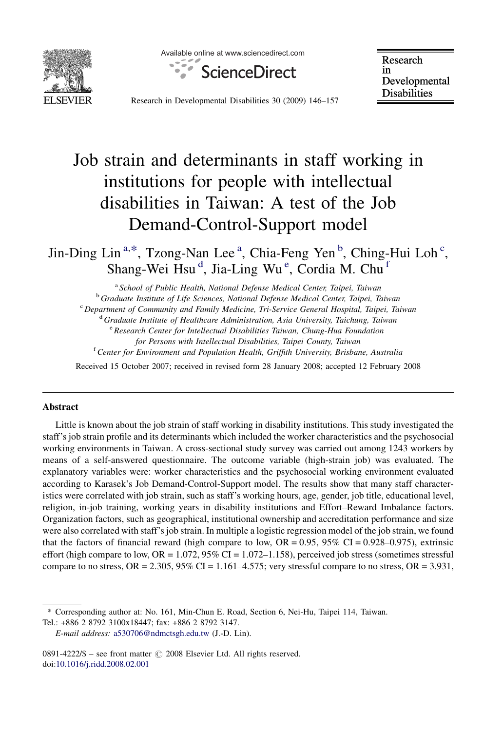

Available online at www.sciencedirect.com



Research in Developmental **Disabilities** 

Research in Developmental Disabilities 30 (2009) 146–157

# Job strain and determinants in staff working in institutions for people with intellectual disabilities in Taiwan: A test of the Job Demand-Control-Support model

Jin-Ding Lin<sup>a,\*</sup>, Tzong-Nan Lee<sup>a</sup>, Chia-Feng Yen<sup>b</sup>, Ching-Hui Loh<sup>c</sup>, Shang-Wei Hsu<sup>d</sup>, Jia-Ling Wu<sup>e</sup>, Cordia M. Chu<sup>f</sup>

<sup>a</sup> School of Public Health, National Defense Medical Center, Taipei, Taiwan

<sup>b</sup> Graduate Institute of Life Sciences, National Defense Medical Center, Taipei, Taiwan

<sup>c</sup> Department of Community and Family Medicine, Tri-Service General Hospital, Taipei, Taiwan

<sup>d</sup> Graduate Institute of Healthcare Administration, Asia University, Taichung, Taiwan

<sup>e</sup> Research Center for Intellectual Disabilities Taiwan, Chung-Hua Foundation

for Persons with Intellectual Disabilities, Taipei County, Taiwan

<sup>f</sup> Center for Environment and Population Health, Griffith University, Brisbane, Australia

Received 15 October 2007; received in revised form 28 January 2008; accepted 12 February 2008

#### Abstract

Little is known about the job strain of staff working in disability institutions. This study investigated the staff's job strain profile and its determinants which included the worker characteristics and the psychosocial working environments in Taiwan. A cross-sectional study survey was carried out among 1243 workers by means of a self-answered questionnaire. The outcome variable (high-strain job) was evaluated. The explanatory variables were: worker characteristics and the psychosocial working environment evaluated according to Karasek's Job Demand-Control-Support model. The results show that many staff characteristics were correlated with job strain, such as staff's working hours, age, gender, job title, educational level, religion, in-job training, working years in disability institutions and Effort–Reward Imbalance factors. Organization factors, such as geographical, institutional ownership and accreditation performance and size were also correlated with staff's job strain. In multiple a logistic regression model of the job strain, we found that the factors of financial reward (high compare to low,  $OR = 0.95$ ,  $95\%$  CI = 0.928–0.975), extrinsic effort (high compare to low,  $OR = 1.072$ ,  $95\%$  CI = 1.072–1.158), perceived job stress (sometimes stressful compare to no stress,  $OR = 2.305$ ,  $95\%$  CI = 1.161–4.575; very stressful compare to no stress,  $OR = 3.931$ ,

Tel.: +886 2 8792 3100x18447; fax: +886 2 8792 3147.

 $0891-4222/\$ \$ – see front matter  $\odot$  2008 Elsevier Ltd. All rights reserved. doi[:10.1016/j.ridd.2008.02.001](http://dx.doi.org/10.1016/j.ridd.2008.02.001)

<sup>\*</sup> Corresponding author at: No. 161, Min-Chun E. Road, Section 6, Nei-Hu, Taipei 114, Taiwan.

E-mail address: [a530706@ndmctsgh.edu.tw](mailto:a530706@ndmctsgh.edu.tw) (J.-D. Lin).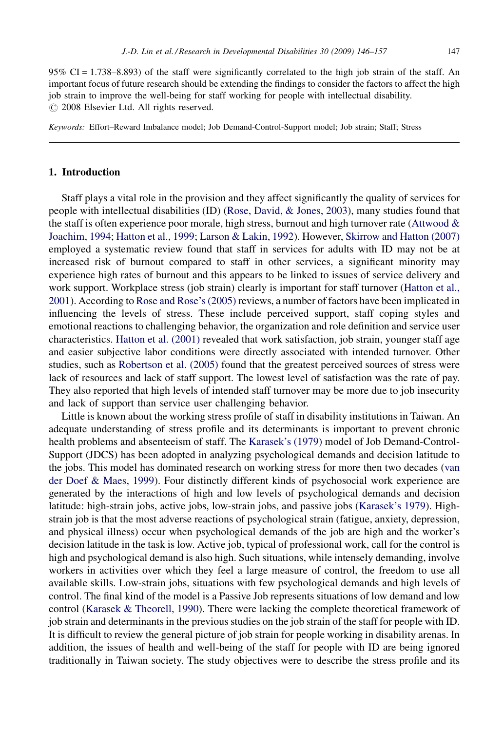95% CI = 1.738–8.893) of the staff were significantly correlated to the high job strain of the staff. An important focus of future research should be extending the findings to consider the factors to affect the high job strain to improve the well-being for staff working for people with intellectual disability.  $\odot$  2008 Elsevier Ltd. All rights reserved.

Keywords: Effort–Reward Imbalance model; Job Demand-Control-Support model; Job strain; Staff; Stress

## 1. Introduction

Staff plays a vital role in the provision and they affect significantly the quality of services for people with intellectual disabilities (ID) [\(Rose, David, & Jones, 2003](#page-11-0)), many studies found that the staff is often experience poor morale, high stress, burnout and high turnover rate (Attwood  $\&$ [Joachim, 1994](#page-10-0); [Hatton et al., 1999;](#page-11-0) [Larson & Lakin, 1992](#page-11-0)). However, [Skirrow and Hatton \(2007\)](#page-11-0) employed a systematic review found that staff in services for adults with ID may not be at increased risk of burnout compared to staff in other services, a significant minority may experience high rates of burnout and this appears to be linked to issues of service delivery and work support. Workplace stress (job strain) clearly is important for staff turnover ([Hatton et al.,](#page-11-0) [2001](#page-11-0)). According to [Rose and Rose's \(2005\)](#page-11-0) reviews, a number of factors have been implicated in influencing the levels of stress. These include perceived support, staff coping styles and emotional reactions to challenging behavior, the organization and role definition and service user characteristics. [Hatton et al. \(2001\)](#page-11-0) revealed that work satisfaction, job strain, younger staff age and easier subjective labor conditions were directly associated with intended turnover. Other studies, such as [Robertson et al. \(2005\)](#page-11-0) found that the greatest perceived sources of stress were lack of resources and lack of staff support. The lowest level of satisfaction was the rate of pay. They also reported that high levels of intended staff turnover may be more due to job insecurity and lack of support than service user challenging behavior.

Little is known about the working stress profile of staff in disability institutions in Taiwan. An adequate understanding of stress profile and its determinants is important to prevent chronic health problems and absenteeism of staff. The [Karasek's \(1979\)](#page-11-0) model of Job Demand-Control-Support (JDCS) has been adopted in analyzing psychological demands and decision latitude to the jobs. This model has dominated research on working stress for more then two decades ([van](#page-11-0) [der Doef & Maes, 1999\)](#page-11-0). Four distinctly different kinds of psychosocial work experience are generated by the interactions of high and low levels of psychological demands and decision latitude: high-strain jobs, active jobs, low-strain jobs, and passive jobs ([Karasek's 1979](#page-11-0)). Highstrain job is that the most adverse reactions of psychological strain (fatigue, anxiety, depression, and physical illness) occur when psychological demands of the job are high and the worker's decision latitude in the task is low. Active job, typical of professional work, call for the control is high and psychological demand is also high. Such situations, while intensely demanding, involve workers in activities over which they feel a large measure of control, the freedom to use all available skills. Low-strain jobs, situations with few psychological demands and high levels of control. The final kind of the model is a Passive Job represents situations of low demand and low control ([Karasek & Theorell, 1990\)](#page-11-0). There were lacking the complete theoretical framework of job strain and determinants in the previous studies on the job strain of the staff for people with ID. It is difficult to review the general picture of job strain for people working in disability arenas. In addition, the issues of health and well-being of the staff for people with ID are being ignored traditionally in Taiwan society. The study objectives were to describe the stress profile and its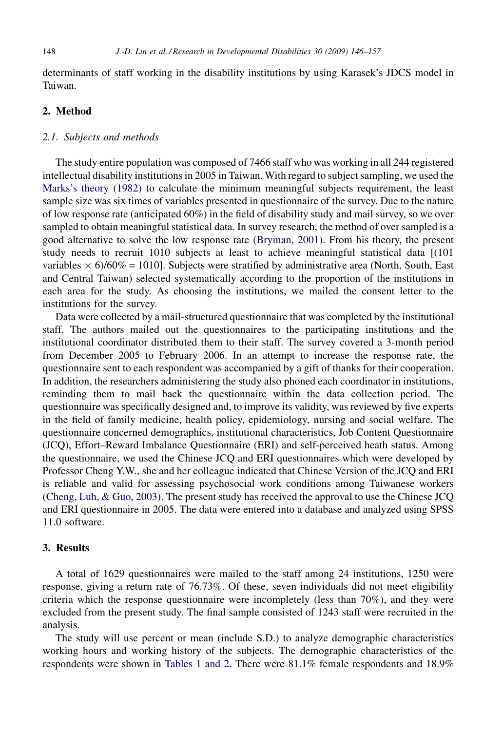determinants of staff working in the disability institutions by using Karasek's JDCS model in Taiwan.

# 2. Method

# 2.1. Subjects and methods

The study entire population was composed of 7466 staff who was working in all 244 registered intellectual disability institutions in 2005 in Taiwan. With regard to subject sampling, we used the [Marks's theory \(1982\)](#page-11-0) to calculate the minimum meaningful subjects requirement, the least sample size was six times of variables presented in questionnaire of the survey. Due to the nature of low response rate (anticipated 60%) in the field of disability study and mail survey, so we over sampled to obtain meaningful statistical data. In survey research, the method of over sampled is a good alternative to solve the low response rate ([Bryman, 2001](#page-11-0)). From his theory, the present study needs to recruit 1010 subjects at least to achieve meaningful statistical data [(101 variables  $\times$  6)/60% = 1010]. Subjects were stratified by administrative area (North, South, East and Central Taiwan) selected systematically according to the proportion of the institutions in each area for the study. As choosing the institutions, we mailed the consent letter to the institutions for the survey.

Data were collected by a mail-structured questionnaire that was completed by the institutional staff. The authors mailed out the questionnaires to the participating institutions and the institutional coordinator distributed them to their staff. The survey covered a 3-month period from December 2005 to February 2006. In an attempt to increase the response rate, the questionnaire sent to each respondent was accompanied by a gift of thanks for their cooperation. In addition, the researchers administering the study also phoned each coordinator in institutions, reminding them to mail back the questionnaire within the data collection period. The questionnaire was specifically designed and, to improve its validity, was reviewed by five experts in the field of family medicine, health policy, epidemiology, nursing and social welfare. The questionnaire concerned demographics, institutional characteristics, Job Content Questionnaire (JCQ), Effort–Reward Imbalance Questionnaire (ERI) and self-perceived heath status. Among the questionnaire, we used the Chinese JCQ and ERI questionnaires which were developed by Professor Cheng Y.W., she and her colleague indicated that Chinese Version of the JCQ and ERI is reliable and valid for assessing psychosocial work conditions among Taiwanese workers [\(Cheng, Luh, & Guo, 2003](#page-11-0)). The present study has received the approval to use the Chinese JCQ and ERI questionnaire in 2005. The data were entered into a database and analyzed using SPSS 11.0 software.

## 3. Results

A total of 1629 questionnaires were mailed to the staff among 24 institutions, 1250 were response, giving a return rate of 76.73%. Of these, seven individuals did not meet eligibility criteria which the response questionnaire were incompletely (less than 70%), and they were excluded from the present study. The final sample consisted of 1243 staff were recruited in the analysis.

The study will use percent or mean (include S.D.) to analyze demographic characteristics working hours and working history of the subjects. The demographic characteristics of the respondents were shown in [Tables 1 and 2](#page-3-0). There were 81.1% female respondents and 18.9%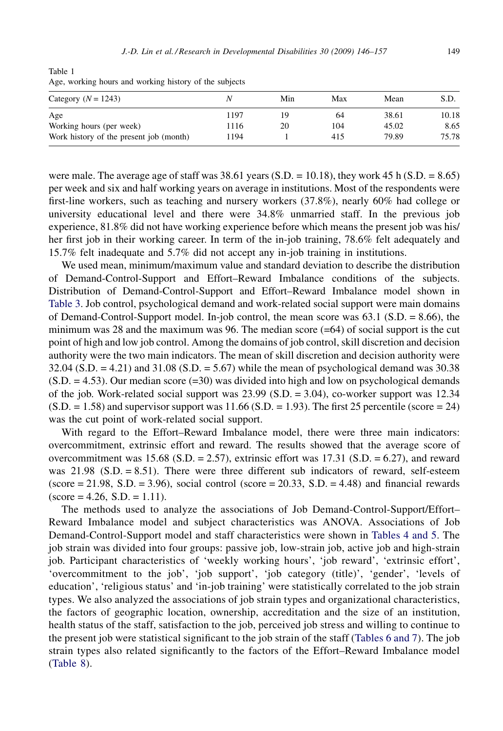<span id="page-3-0"></span>Table 1 Age, working hours and working history of the subjects

| Category $(N = 1243)$                   |      | Min | Max | Mean  | S.D.  |
|-----------------------------------------|------|-----|-----|-------|-------|
| Age                                     | 1197 |     | 64  | 38.61 | 10.18 |
| Working hours (per week)                | 116  | 20  | 104 | 45.02 | 8.65  |
| Work history of the present job (month) | 1194 |     | 415 | 79.89 | 75.78 |

were male. The average age of staff was  $38.61$  years (S.D. = 10.18), they work 45 h (S.D. = 8.65) per week and six and half working years on average in institutions. Most of the respondents were first-line workers, such as teaching and nursery workers (37.8%), nearly 60% had college or university educational level and there were 34.8% unmarried staff. In the previous job experience, 81.8% did not have working experience before which means the present job was his/ her first job in their working career. In term of the in-job training, 78.6% felt adequately and 15.7% felt inadequate and 5.7% did not accept any in-job training in institutions.

We used mean, minimum/maximum value and standard deviation to describe the distribution of Demand-Control-Support and Effort–Reward Imbalance conditions of the subjects. Distribution of Demand-Control-Support and Effort–Reward Imbalance model shown in [Table 3.](#page-5-0) Job control, psychological demand and work-related social support were main domains of Demand-Control-Support model. In-job control, the mean score was 63.1 (S.D. = 8.66), the minimum was 28 and the maximum was 96. The median score  $(=64)$  of social support is the cut point of high and low job control. Among the domains of job control, skill discretion and decision authority were the two main indicators. The mean of skill discretion and decision authority were 32.04 (S.D. = 4.21) and 31.08 (S.D. = 5.67) while the mean of psychological demand was 30.38  $(S.D. = 4.53)$ . Our median score  $(=30)$  was divided into high and low on psychological demands of the job. Work-related social support was  $23.99$  (S.D. =  $3.04$ ), co-worker support was 12.34  $(S.D. = 1.58)$  and supervisor support was  $11.66$   $(S.D. = 1.93)$ . The first 25 percentile (score = 24) was the cut point of work-related social support.

With regard to the Effort–Reward Imbalance model, there were three main indicators: overcommitment, extrinsic effort and reward. The results showed that the average score of overcommitment was 15.68 (S.D. = 2.57), extrinsic effort was 17.31 (S.D. = 6.27), and reward was 21.98 (S.D. = 8.51). There were three different sub indicators of reward, self-esteem (score  $= 21.98$ , S.D.  $= 3.96$ ), social control (score  $= 20.33$ , S.D.  $= 4.48$ ) and financial rewards  $(\text{score} = 4.26, S.D. = 1.11).$ 

The methods used to analyze the associations of Job Demand-Control-Support/Effort– Reward Imbalance model and subject characteristics was ANOVA. Associations of Job Demand-Control-Support model and staff characteristics were shown in [Tables 4 and 5](#page-6-0). The job strain was divided into four groups: passive job, low-strain job, active job and high-strain job. Participant characteristics of 'weekly working hours', 'job reward', 'extrinsic effort', 'overcommitment to the job', 'job support', 'job category (title)', 'gender', 'levels of education', 'religious status' and 'in-job training' were statistically correlated to the job strain types. We also analyzed the associations of job strain types and organizational characteristics, the factors of geographic location, ownership, accreditation and the size of an institution, health status of the staff, satisfaction to the job, perceived job stress and willing to continue to the present job were statistical significant to the job strain of the staff [\(Tables 6 and 7\)](#page-8-0). The job strain types also related significantly to the factors of the Effort–Reward Imbalance model ([Table 8\)](#page-9-0).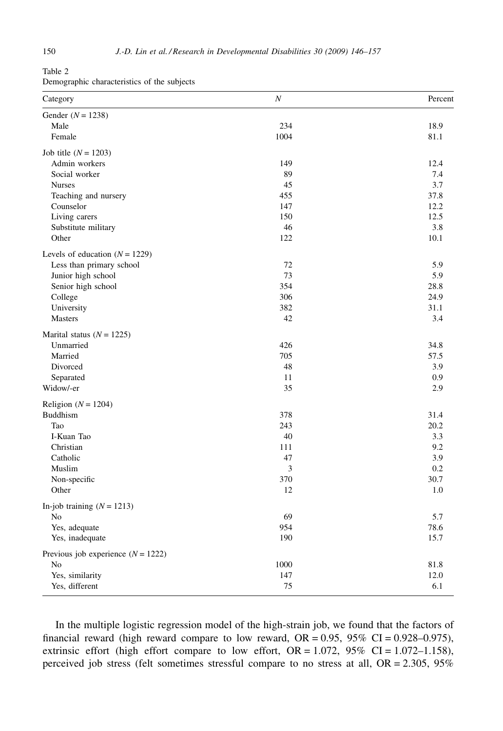| Table 2                                     |  |
|---------------------------------------------|--|
| Demographic characteristics of the subjects |  |

| Gender $(N = 1238)$<br>234<br>18.9<br>Male<br>1004<br>Female<br>81.1<br>Job title $(N = 1203)$<br>Admin workers<br>149<br>12.4<br>89<br>Social worker<br>7.4<br>3.7<br><b>Nurses</b><br>45<br>455<br>37.8<br>Teaching and nursery<br>12.2<br>Counselor<br>147<br>Living carers<br>150<br>12.5<br>Substitute military<br>46<br>3.8<br>Other<br>122<br>10.1<br>72<br>5.9<br>Less than primary school<br>73<br>5.9<br>Junior high school<br>Senior high school<br>354<br>28.8<br>306<br>24.9<br>College<br>University<br>382<br>31.1<br>42<br>3.4<br><b>Masters</b><br>Unmarried<br>426<br>34.8<br>705<br>Married<br>57.5<br>48<br>3.9<br>Divorced<br>0.9<br>Separated<br>11<br>35<br>2.9<br>Widow/-er<br>Religion ( $N = 1204$ )<br><b>Buddhism</b><br>378<br>31.4<br>Tao<br>243<br>20.2<br>3.3<br>I-Kuan Tao<br>40<br>Christian<br>111<br>9.2<br>47<br>3.9<br>Catholic<br>3<br>0.2<br>Muslim<br>370<br>30.7<br>Non-specific<br>Other<br>12<br>1.0<br>69<br>5.7<br>No<br>954<br>78.6<br>Yes, adequate<br>190<br>15.7<br>Yes, inadequate<br>N <sub>0</sub><br>1000<br>81.8<br>12.0<br>Yes, similarity<br>147<br>75<br>6.1 | Category                             | $\boldsymbol{N}$ | Percent |
|------------------------------------------------------------------------------------------------------------------------------------------------------------------------------------------------------------------------------------------------------------------------------------------------------------------------------------------------------------------------------------------------------------------------------------------------------------------------------------------------------------------------------------------------------------------------------------------------------------------------------------------------------------------------------------------------------------------------------------------------------------------------------------------------------------------------------------------------------------------------------------------------------------------------------------------------------------------------------------------------------------------------------------------------------------------------------------------------------------------------|--------------------------------------|------------------|---------|
|                                                                                                                                                                                                                                                                                                                                                                                                                                                                                                                                                                                                                                                                                                                                                                                                                                                                                                                                                                                                                                                                                                                        |                                      |                  |         |
|                                                                                                                                                                                                                                                                                                                                                                                                                                                                                                                                                                                                                                                                                                                                                                                                                                                                                                                                                                                                                                                                                                                        |                                      |                  |         |
|                                                                                                                                                                                                                                                                                                                                                                                                                                                                                                                                                                                                                                                                                                                                                                                                                                                                                                                                                                                                                                                                                                                        |                                      |                  |         |
|                                                                                                                                                                                                                                                                                                                                                                                                                                                                                                                                                                                                                                                                                                                                                                                                                                                                                                                                                                                                                                                                                                                        |                                      |                  |         |
|                                                                                                                                                                                                                                                                                                                                                                                                                                                                                                                                                                                                                                                                                                                                                                                                                                                                                                                                                                                                                                                                                                                        |                                      |                  |         |
|                                                                                                                                                                                                                                                                                                                                                                                                                                                                                                                                                                                                                                                                                                                                                                                                                                                                                                                                                                                                                                                                                                                        |                                      |                  |         |
|                                                                                                                                                                                                                                                                                                                                                                                                                                                                                                                                                                                                                                                                                                                                                                                                                                                                                                                                                                                                                                                                                                                        |                                      |                  |         |
|                                                                                                                                                                                                                                                                                                                                                                                                                                                                                                                                                                                                                                                                                                                                                                                                                                                                                                                                                                                                                                                                                                                        |                                      |                  |         |
|                                                                                                                                                                                                                                                                                                                                                                                                                                                                                                                                                                                                                                                                                                                                                                                                                                                                                                                                                                                                                                                                                                                        |                                      |                  |         |
|                                                                                                                                                                                                                                                                                                                                                                                                                                                                                                                                                                                                                                                                                                                                                                                                                                                                                                                                                                                                                                                                                                                        |                                      |                  |         |
|                                                                                                                                                                                                                                                                                                                                                                                                                                                                                                                                                                                                                                                                                                                                                                                                                                                                                                                                                                                                                                                                                                                        |                                      |                  |         |
|                                                                                                                                                                                                                                                                                                                                                                                                                                                                                                                                                                                                                                                                                                                                                                                                                                                                                                                                                                                                                                                                                                                        |                                      |                  |         |
|                                                                                                                                                                                                                                                                                                                                                                                                                                                                                                                                                                                                                                                                                                                                                                                                                                                                                                                                                                                                                                                                                                                        | Levels of education $(N = 1229)$     |                  |         |
|                                                                                                                                                                                                                                                                                                                                                                                                                                                                                                                                                                                                                                                                                                                                                                                                                                                                                                                                                                                                                                                                                                                        |                                      |                  |         |
|                                                                                                                                                                                                                                                                                                                                                                                                                                                                                                                                                                                                                                                                                                                                                                                                                                                                                                                                                                                                                                                                                                                        |                                      |                  |         |
|                                                                                                                                                                                                                                                                                                                                                                                                                                                                                                                                                                                                                                                                                                                                                                                                                                                                                                                                                                                                                                                                                                                        |                                      |                  |         |
|                                                                                                                                                                                                                                                                                                                                                                                                                                                                                                                                                                                                                                                                                                                                                                                                                                                                                                                                                                                                                                                                                                                        |                                      |                  |         |
|                                                                                                                                                                                                                                                                                                                                                                                                                                                                                                                                                                                                                                                                                                                                                                                                                                                                                                                                                                                                                                                                                                                        |                                      |                  |         |
|                                                                                                                                                                                                                                                                                                                                                                                                                                                                                                                                                                                                                                                                                                                                                                                                                                                                                                                                                                                                                                                                                                                        |                                      |                  |         |
|                                                                                                                                                                                                                                                                                                                                                                                                                                                                                                                                                                                                                                                                                                                                                                                                                                                                                                                                                                                                                                                                                                                        | Marital status ( $N = 1225$ )        |                  |         |
|                                                                                                                                                                                                                                                                                                                                                                                                                                                                                                                                                                                                                                                                                                                                                                                                                                                                                                                                                                                                                                                                                                                        |                                      |                  |         |
|                                                                                                                                                                                                                                                                                                                                                                                                                                                                                                                                                                                                                                                                                                                                                                                                                                                                                                                                                                                                                                                                                                                        |                                      |                  |         |
|                                                                                                                                                                                                                                                                                                                                                                                                                                                                                                                                                                                                                                                                                                                                                                                                                                                                                                                                                                                                                                                                                                                        |                                      |                  |         |
|                                                                                                                                                                                                                                                                                                                                                                                                                                                                                                                                                                                                                                                                                                                                                                                                                                                                                                                                                                                                                                                                                                                        |                                      |                  |         |
|                                                                                                                                                                                                                                                                                                                                                                                                                                                                                                                                                                                                                                                                                                                                                                                                                                                                                                                                                                                                                                                                                                                        |                                      |                  |         |
|                                                                                                                                                                                                                                                                                                                                                                                                                                                                                                                                                                                                                                                                                                                                                                                                                                                                                                                                                                                                                                                                                                                        |                                      |                  |         |
|                                                                                                                                                                                                                                                                                                                                                                                                                                                                                                                                                                                                                                                                                                                                                                                                                                                                                                                                                                                                                                                                                                                        |                                      |                  |         |
|                                                                                                                                                                                                                                                                                                                                                                                                                                                                                                                                                                                                                                                                                                                                                                                                                                                                                                                                                                                                                                                                                                                        |                                      |                  |         |
|                                                                                                                                                                                                                                                                                                                                                                                                                                                                                                                                                                                                                                                                                                                                                                                                                                                                                                                                                                                                                                                                                                                        |                                      |                  |         |
|                                                                                                                                                                                                                                                                                                                                                                                                                                                                                                                                                                                                                                                                                                                                                                                                                                                                                                                                                                                                                                                                                                                        |                                      |                  |         |
|                                                                                                                                                                                                                                                                                                                                                                                                                                                                                                                                                                                                                                                                                                                                                                                                                                                                                                                                                                                                                                                                                                                        |                                      |                  |         |
|                                                                                                                                                                                                                                                                                                                                                                                                                                                                                                                                                                                                                                                                                                                                                                                                                                                                                                                                                                                                                                                                                                                        |                                      |                  |         |
|                                                                                                                                                                                                                                                                                                                                                                                                                                                                                                                                                                                                                                                                                                                                                                                                                                                                                                                                                                                                                                                                                                                        |                                      |                  |         |
|                                                                                                                                                                                                                                                                                                                                                                                                                                                                                                                                                                                                                                                                                                                                                                                                                                                                                                                                                                                                                                                                                                                        |                                      |                  |         |
|                                                                                                                                                                                                                                                                                                                                                                                                                                                                                                                                                                                                                                                                                                                                                                                                                                                                                                                                                                                                                                                                                                                        | In-job training $(N = 1213)$         |                  |         |
|                                                                                                                                                                                                                                                                                                                                                                                                                                                                                                                                                                                                                                                                                                                                                                                                                                                                                                                                                                                                                                                                                                                        |                                      |                  |         |
|                                                                                                                                                                                                                                                                                                                                                                                                                                                                                                                                                                                                                                                                                                                                                                                                                                                                                                                                                                                                                                                                                                                        |                                      |                  |         |
|                                                                                                                                                                                                                                                                                                                                                                                                                                                                                                                                                                                                                                                                                                                                                                                                                                                                                                                                                                                                                                                                                                                        |                                      |                  |         |
|                                                                                                                                                                                                                                                                                                                                                                                                                                                                                                                                                                                                                                                                                                                                                                                                                                                                                                                                                                                                                                                                                                                        | Previous job experience $(N = 1222)$ |                  |         |
|                                                                                                                                                                                                                                                                                                                                                                                                                                                                                                                                                                                                                                                                                                                                                                                                                                                                                                                                                                                                                                                                                                                        |                                      |                  |         |
|                                                                                                                                                                                                                                                                                                                                                                                                                                                                                                                                                                                                                                                                                                                                                                                                                                                                                                                                                                                                                                                                                                                        |                                      |                  |         |
|                                                                                                                                                                                                                                                                                                                                                                                                                                                                                                                                                                                                                                                                                                                                                                                                                                                                                                                                                                                                                                                                                                                        | Yes, different                       |                  |         |

In the multiple logistic regression model of the high-strain job, we found that the factors of financial reward (high reward compare to low reward,  $OR = 0.95$ ,  $95\%$  CI = 0.928-0.975), extrinsic effort (high effort compare to low effort,  $OR = 1.072$ ,  $95\%$   $CI = 1.072 - 1.158$ ), perceived job stress (felt sometimes stressful compare to no stress at all, OR = 2.305, 95%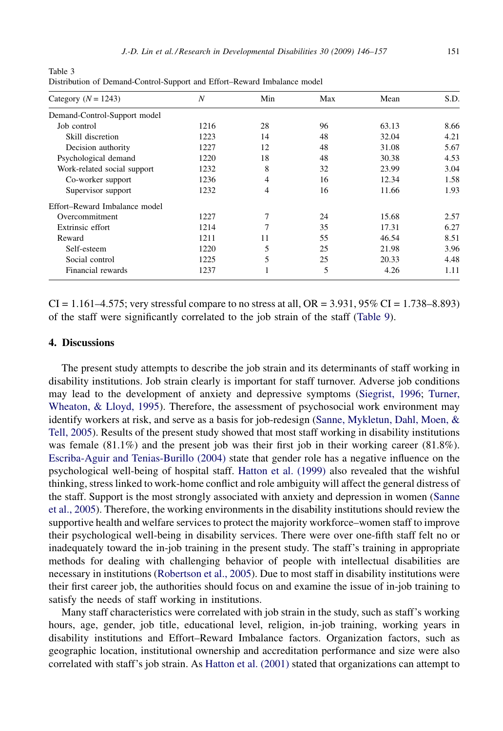| Category ( $N = 1243$ )       | N    | Min | Max | Mean  | S.D. |
|-------------------------------|------|-----|-----|-------|------|
| Demand-Control-Support model  |      |     |     |       |      |
| Job control                   | 1216 | 28  | 96  | 63.13 | 8.66 |
| Skill discretion              | 1223 | 14  | 48  | 32.04 | 4.21 |
| Decision authority            | 1227 | 12  | 48  | 31.08 | 5.67 |
| Psychological demand          | 1220 | 18  | 48  | 30.38 | 4.53 |
| Work-related social support   | 1232 | 8   | 32  | 23.99 | 3.04 |
| Co-worker support             | 1236 | 4   | 16  | 12.34 | 1.58 |
| Supervisor support            | 1232 | 4   | 16  | 11.66 | 1.93 |
| Effort–Reward Imbalance model |      |     |     |       |      |
| Overcommitment                | 1227 | 7   | 24  | 15.68 | 2.57 |
| Extrinsic effort              | 1214 | 7   | 35  | 17.31 | 6.27 |
| Reward                        | 1211 | 11  | 55  | 46.54 | 8.51 |
| Self-esteem                   | 1220 | 5   | 25  | 21.98 | 3.96 |
| Social control                | 1225 | 5   | 25  | 20.33 | 4.48 |
| Financial rewards             | 1237 |     | 5   | 4.26  | 1.11 |

<span id="page-5-0"></span>Table 3 Distribution of Demand-Control-Support and Effort–Reward Imbalance model

 $CI = 1.161 - 4.575$ ; very stressful compare to no stress at all,  $OR = 3.931, 95\% CI = 1.738 - 8.893$ of the staff were significantly correlated to the job strain of the staff [\(Table 9\)](#page-9-0).

## 4. Discussions

The present study attempts to describe the job strain and its determinants of staff working in disability institutions. Job strain clearly is important for staff turnover. Adverse job conditions may lead to the development of anxiety and depressive symptoms [\(Siegrist, 1996;](#page-11-0) [Turner,](#page-11-0) [Wheaton, & Lloyd, 1995](#page-11-0)). Therefore, the assessment of psychosocial work environment may identify workers at risk, and serve as a basis for job-redesign [\(Sanne, Mykletun, Dahl, Moen, &](#page-11-0) [Tell, 2005\)](#page-11-0). Results of the present study showed that most staff working in disability institutions was female (81.1%) and the present job was their first job in their working career (81.8%). [Escriba-Aguir and Tenias-Burillo \(2004\)](#page-11-0) state that gender role has a negative influence on the psychological well-being of hospital staff. [Hatton et al. \(1999\)](#page-11-0) also revealed that the wishful thinking, stress linked to work-home conflict and role ambiguity will affect the general distress of the staff. Support is the most strongly associated with anxiety and depression in women [\(Sanne](#page-11-0) [et al., 2005](#page-11-0)). Therefore, the working environments in the disability institutions should review the supportive health and welfare services to protect the majority workforce–women staff to improve their psychological well-being in disability services. There were over one-fifth staff felt no or inadequately toward the in-job training in the present study. The staff's training in appropriate methods for dealing with challenging behavior of people with intellectual disabilities are necessary in institutions ([Robertson et al., 2005\)](#page-11-0). Due to most staff in disability institutions were their first career job, the authorities should focus on and examine the issue of in-job training to satisfy the needs of staff working in institutions.

Many staff characteristics were correlated with job strain in the study, such as staff's working hours, age, gender, job title, educational level, religion, in-job training, working years in disability institutions and Effort–Reward Imbalance factors. Organization factors, such as geographic location, institutional ownership and accreditation performance and size were also correlated with staff's job strain. As [Hatton et al. \(2001\)](#page-11-0) stated that organizations can attempt to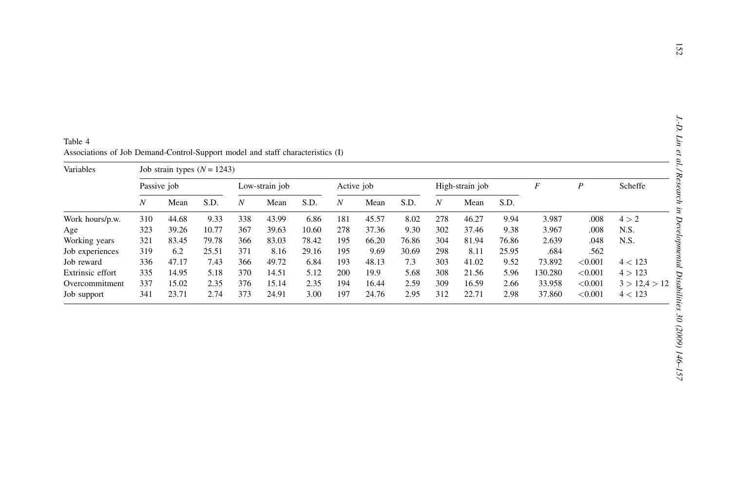<span id="page-6-0"></span>

|                                    |                  |                               |              |                  | Associations of Job Demand-Control-Support model and staff characteristics (I) |              |                  |                                           |       |                  |                  |              |                   |                    |                    |
|------------------------------------|------------------|-------------------------------|--------------|------------------|--------------------------------------------------------------------------------|--------------|------------------|-------------------------------------------|-------|------------------|------------------|--------------|-------------------|--------------------|--------------------|
| Variables                          | Passive job      | Job strain types $(N = 1243)$ |              |                  | Low-strain job                                                                 |              |                  | $\cal F$<br>Active job<br>High-strain job |       |                  | $\boldsymbol{P}$ | Scheffe      |                   |                    |                    |
|                                    | $\boldsymbol{N}$ | Mean                          | S.D.         | $\boldsymbol{N}$ | Mean                                                                           | S.D.         | $\boldsymbol{N}$ | Mean                                      | S.D.  | $\boldsymbol{N}$ | Mean             | S.D.         |                   |                    |                    |
| Work hours/p.w.                    | 310              | 44.68                         | 9.33         | 338              | 43.99                                                                          | 6.86         | 181              | 45.57                                     | 8.02  | 278              | 46.27            | 9.94         | 3.987             | .008               | 4 > 2              |
| Age                                | 323              | 39.26                         | 10.77        | 367              | 39.63                                                                          | 10.60        | 278              | 37.36                                     | 9.30  | 302              | 37.46            | 9.38         | 3.967             | .008               | N.S.               |
| Working years                      | 321              | 83.45                         | 79.78        | 366              | 83.03                                                                          | 78.42        | 195              | 66.20                                     | 76.86 | 304              | 81.94            | 76.86        | 2.639             | .048               | N.S.               |
| Job experiences                    | 319              | 6.2                           | 25.51        | 371              | 8.16                                                                           | 29.16        | 195              | 9.69                                      | 30.69 | 298              | 8.11             | 25.95        | .684              | .562               |                    |
|                                    | 336              | 47.17                         | 7.43         | 366<br>370       | 49.72<br>14.51                                                                 | 6.84<br>5.12 | 193<br>200       | 48.13<br>19.9                             | 7.3   | 303              | 41.02            | 9.52<br>5.96 | 73.892<br>130.280 | < 0.001<br>< 0.001 | 4 < 123<br>4 > 123 |
| Job reward                         |                  |                               |              |                  |                                                                                |              |                  |                                           | 5.68  | 308              | 21.56            |              |                   |                    |                    |
| Extrinsic effort<br>Overcommitment | 335<br>337       | 14.95<br>15.02                | 5.18<br>2.35 | 376              | 15.14                                                                          | 2.35         | 194              | 16.44                                     | 2.59  | 309              | 16.59            | 2.66         | 33.958            | < 0.001            | 3 > 12,4 > 12      |

| Table 4 |                                                                                |  |
|---------|--------------------------------------------------------------------------------|--|
|         | Associations of Job Demand-Control-Support model and staff characteristics (I) |  |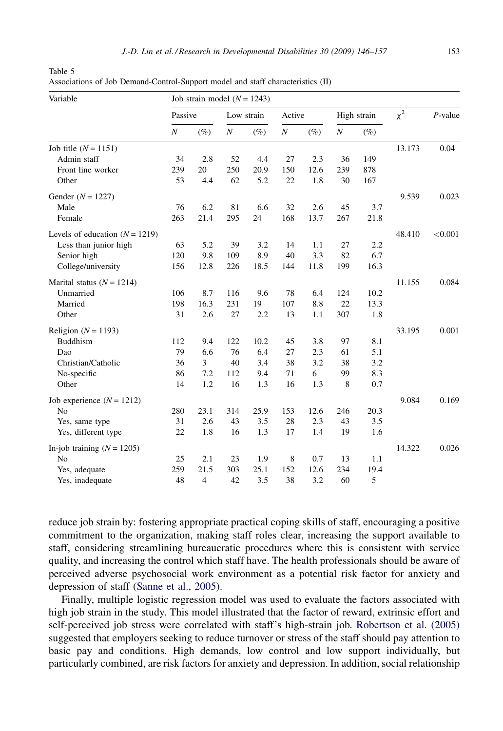| Variable                         |                  | Job strain model $(N = 1243)$ |                  |            |                  |        |                  |             |          |            |
|----------------------------------|------------------|-------------------------------|------------------|------------|------------------|--------|------------------|-------------|----------|------------|
|                                  | Passive          |                               |                  | Low strain | Active           |        |                  | High strain | $\chi^2$ | $P$ -value |
|                                  | $\boldsymbol{N}$ | $(\%)$                        | $\boldsymbol{N}$ | $(\%)$     | $\boldsymbol{N}$ | $(\%)$ | $\boldsymbol{N}$ | $(\%)$      |          |            |
| Job title $(N = 1151)$           |                  |                               |                  |            |                  |        |                  |             | 13.173   | 0.04       |
| Admin staff                      | 34               | 2.8                           | 52               | 4.4        | 27               | 2.3    | 36               | 149         |          |            |
| Front line worker                | 239              | 20                            | 250              | 20.9       | 150              | 12.6   | 239              | 878         |          |            |
| Other                            | 53               | 4.4                           | 62               | 5.2        | 22               | 1.8    | 30               | 167         |          |            |
| Gender $(N = 1227)$              |                  |                               |                  |            |                  |        |                  |             | 9.539    | 0.023      |
| Male                             | 76               | 6.2                           | 81               | 6.6        | 32               | 2.6    | 45               | 3.7         |          |            |
| Female                           | 263              | 21.4                          | 295              | 24         | 168              | 13.7   | 267              | 21.8        |          |            |
| Levels of education $(N = 1219)$ |                  |                               |                  |            |                  |        |                  |             | 48.410   | < 0.001    |
| Less than junior high            | 63               | 5.2                           | 39               | 3.2        | 14               | 1.1    | 27               | 2.2         |          |            |
| Senior high                      | 120              | 9.8                           | 109              | 8.9        | 40               | 3.3    | 82               | 6.7         |          |            |
| College/university               | 156              | 12.8                          | 226              | 18.5       | 144              | 11.8   | 199              | 16.3        |          |            |
| Marital status $(N = 1214)$      |                  |                               |                  |            |                  |        |                  |             | 11.155   | 0.084      |
| Unmarried                        | 106              | 8.7                           | 116              | 9.6        | 78               | 6.4    | 124              | 10.2        |          |            |
| Married                          | 198              | 16.3                          | 231              | 19         | 107              | 8.8    | 22               | 13.3        |          |            |
| Other                            | 31               | 2.6                           | 27               | 2.2        | 13               | 1.1    | 307              | 1.8         |          |            |
| Religion ( $N = 1193$ )          |                  |                               |                  |            |                  |        |                  |             | 33.195   | 0.001      |
| <b>Buddhism</b>                  | 112              | 9.4                           | 122              | 10.2       | 45               | 3.8    | 97               | 8.1         |          |            |
| Dao                              | 79               | 6.6                           | 76               | 6.4        | 27               | 2.3    | 61               | 5.1         |          |            |
| Christian/Catholic               | 36               | 3                             | 40               | 3.4        | 38               | 3.2    | 38               | 3.2         |          |            |
| No-specific                      | 86               | 7.2                           | 112              | 9.4        | 71               | 6      | 99               | 8.3         |          |            |
| Other                            | 14               | 1.2                           | 16               | 1.3        | 16               | 1.3    | 8                | 0.7         |          |            |
| Job experience $(N = 1212)$      |                  |                               |                  |            |                  |        |                  |             | 9.084    | 0.169      |
| N <sub>0</sub>                   | 280              | 23.1                          | 314              | 25.9       | 153              | 12.6   | 246              | 20.3        |          |            |
| Yes, same type                   | 31               | 2.6                           | 43               | 3.5        | 28               | 2.3    | 43               | 3.5         |          |            |
| Yes, different type              | 22               | 1.8                           | 16               | 1.3        | 17               | 1.4    | 19               | 1.6         |          |            |
| In-job training $(N = 1205)$     |                  |                               |                  |            |                  |        |                  |             | 14.322   | 0.026      |
| N <sub>o</sub>                   | 25               | 2.1                           | 23               | 1.9        | 8                | 0.7    | 13               | 1.1         |          |            |
| Yes, adequate                    | 259              | 21.5                          | 303              | 25.1       | 152              | 12.6   | 234              | 19.4        |          |            |
| Yes, inadequate                  | 48               | 4                             | 42               | 3.5        | 38               | 3.2    | 60               | 5           |          |            |

Table 5 Associations of Job Demand-Control-Support model and staff characteristics (II)

reduce job strain by: fostering appropriate practical coping skills of staff, encouraging a positive commitment to the organization, making staff roles clear, increasing the support available to staff, considering streamlining bureaucratic procedures where this is consistent with service quality, and increasing the control which staff have. The health professionals should be aware of perceived adverse psychosocial work environment as a potential risk factor for anxiety and depression of staff [\(Sanne et al., 2005](#page-11-0)).

Finally, multiple logistic regression model was used to evaluate the factors associated with high job strain in the study. This model illustrated that the factor of reward, extrinsic effort and self-perceived job stress were correlated with staff's high-strain job. [Robertson et al. \(2005\)](#page-11-0) suggested that employers seeking to reduce turnover or stress of the staff should pay attention to basic pay and conditions. High demands, low control and low support individually, but particularly combined, are risk factors for anxiety and depression. In addition, social relationship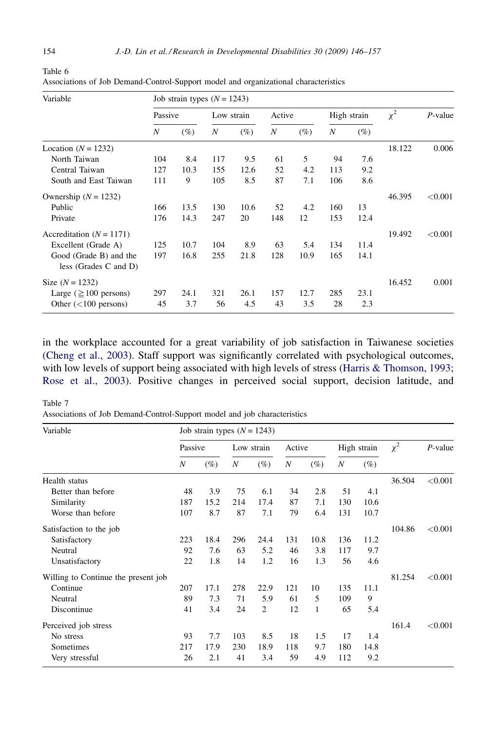| Variable                                        |           | Job strain types $(N = 1243)$ |            |             |           |             |           |             |          |            |
|-------------------------------------------------|-----------|-------------------------------|------------|-------------|-----------|-------------|-----------|-------------|----------|------------|
|                                                 | Passive   |                               | Low strain |             | Active    |             |           | High strain | $\chi^2$ | $P$ -value |
|                                                 | N         | $(\%)$                        | N          | (%)         | N         | $(\%)$      | N         | $(\%)$      |          |            |
| Location $(N = 1232)$                           |           |                               |            |             |           |             |           |             | 18.122   | 0.006      |
| North Taiwan                                    | 104       | 8.4                           | 117        | 9.5         | 61        | 5           | 94        | 7.6         |          |            |
| Central Taiwan                                  | 127       | 10.3                          | 155        | 12.6        | 52        | 4.2         | 113       | 9.2         |          |            |
| South and East Taiwan                           | 111       | 9                             | 105        | 8.5         | 87        | 7.1         | 106       | 8.6         |          |            |
| Ownership $(N = 1232)$                          |           |                               |            |             |           |             |           |             | 46.395   | < 0.001    |
| Public                                          | 166       | 13.5                          | 130        | 10.6        | 52        | 4.2         | 160       | 13          |          |            |
| Private                                         | 176       | 14.3                          | 247        | 20          | 148       | 12          | 153       | 12.4        |          |            |
| Accreditation $(N = 1171)$                      |           |                               |            |             |           |             |           |             | 19.492   | ${<}0.001$ |
| Excellent (Grade A)                             | 125       | 10.7                          | 104        | 8.9         | 63        | 5.4         | 134       | 11.4        |          |            |
| Good (Grade B) and the<br>less (Grades C and D) | 197       | 16.8                          | 255        | 21.8        | 128       | 10.9        | 165       | 14.1        |          |            |
| Size $(N = 1232)$                               |           |                               |            |             |           |             |           |             | 16.452   | 0.001      |
| Large ( $\geq$ 100 persons)                     | 297<br>45 | 24.1<br>3.7                   | 321<br>56  | 26.1<br>4.5 | 157<br>43 | 12.7<br>3.5 | 285<br>28 | 23.1<br>2.3 |          |            |
| Other $(<100$ persons)                          |           |                               |            |             |           |             |           |             |          |            |

<span id="page-8-0"></span>Table 6 Associations of Job Demand-Control-Support model and organizational characteristics

in the workplace accounted for a great variability of job satisfaction in Taiwanese societies [\(Cheng et al., 2003](#page-11-0)). Staff support was significantly correlated with psychological outcomes, with low levels of support being associated with high levels of stress [\(Harris & Thomson, 1993](#page-11-0); [Rose et al., 2003\)](#page-11-0). Positive changes in perceived social support, decision latitude, and

Table 7 Associations of Job Demand-Control-Support model and job characteristics

| Variable                            | Job strain types $(N = 1243)$ |        |     |            |        |        |     |             |          |            |  |  |
|-------------------------------------|-------------------------------|--------|-----|------------|--------|--------|-----|-------------|----------|------------|--|--|
|                                     | Passive                       |        |     | Low strain | Active |        |     | High strain | $\chi^2$ | $P$ -value |  |  |
|                                     | N                             | $(\%)$ | N   | $(\%)$     | N      | $(\%)$ | N   | (%)         |          |            |  |  |
| Health status                       |                               |        |     |            |        |        |     |             | 36.504   | < 0.001    |  |  |
| Better than before                  | 48                            | 3.9    | 75  | 6.1        | 34     | 2.8    | 51  | 4.1         |          |            |  |  |
| Similarity                          | 187                           | 15.2   | 214 | 17.4       | 87     | 7.1    | 130 | 10.6        |          |            |  |  |
| Worse than before                   | 107                           | 8.7    | 87  | 7.1        | 79     | 6.4    | 131 | 10.7        |          |            |  |  |
| Satisfaction to the job             |                               |        |     |            |        |        |     |             | 104.86   | < 0.001    |  |  |
| Satisfactory                        | 223                           | 18.4   | 296 | 24.4       | 131    | 10.8   | 136 | 11.2        |          |            |  |  |
| Neutral                             | 92                            | 7.6    | 63  | 5.2        | 46     | 3.8    | 117 | 9.7         |          |            |  |  |
| Unsatisfactory                      | 22                            | 1.8    | 14  | 1.2        | 16     | 1.3    | 56  | 4.6         |          |            |  |  |
| Willing to Continue the present job |                               |        |     |            |        |        |     |             | 81.254   | < 0.001    |  |  |
| Continue                            | 207                           | 17.1   | 278 | 22.9       | 121    | 10     | 135 | 11.1        |          |            |  |  |
| Neutral                             | 89                            | 7.3    | 71  | 5.9        | 61     | 5      | 109 | 9           |          |            |  |  |
| Discontinue                         | 41                            | 3.4    | 24  | 2          | 12     | 1      | 65  | 5.4         |          |            |  |  |
| Perceived job stress                |                               |        |     |            |        |        |     |             | 161.4    | < 0.001    |  |  |
| No stress                           | 93                            | 7.7    | 103 | 8.5        | 18     | 1.5    | 17  | 1.4         |          |            |  |  |
| Sometimes                           | 217                           | 17.9   | 230 | 18.9       | 118    | 9.7    | 180 | 14.8        |          |            |  |  |
| Very stressful                      | 26                            | 2.1    | 41  | 3.4        | 59     | 4.9    | 112 | 9.2         |          |            |  |  |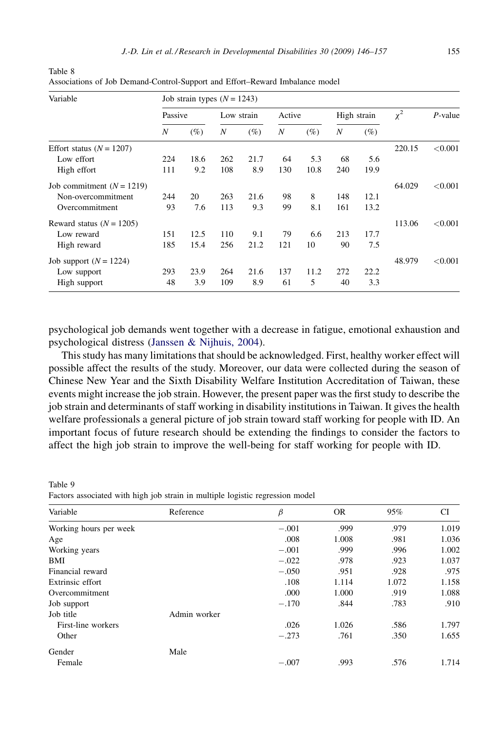| Variable                    | Job strain types $(N = 1243)$ |        |            |        |        |        |     |             |          |            |  |  |
|-----------------------------|-------------------------------|--------|------------|--------|--------|--------|-----|-------------|----------|------------|--|--|
|                             | Passive                       |        | Low strain |        | Active |        |     | High strain | $\chi^2$ | $P$ -value |  |  |
|                             | N                             | $(\%)$ | N          | $(\%)$ | N      | $(\%)$ | N   | $(\%)$      |          |            |  |  |
| Effort status $(N = 1207)$  |                               |        |            |        |        |        |     |             | 220.15   | < 0.001    |  |  |
| Low effort                  | 224                           | 18.6   | 262        | 21.7   | 64     | 5.3    | 68  | 5.6         |          |            |  |  |
| High effort                 | 111                           | 9.2    | 108        | 8.9    | 130    | 10.8   | 240 | 19.9        |          |            |  |  |
| Job commitment $(N = 1219)$ |                               |        |            |        |        |        |     |             | 64.029   | < 0.001    |  |  |
| Non-overcommitment          | 244                           | 20     | 263        | 21.6   | 98     | 8      | 148 | 12.1        |          |            |  |  |
| Overcommitment              | 93                            | 7.6    | 113        | 9.3    | 99     | 8.1    | 161 | 13.2        |          |            |  |  |
| Reward status $(N = 1205)$  |                               |        |            |        |        |        |     |             | 113.06   | < 0.001    |  |  |
| Low reward                  | 151                           | 12.5   | 110        | 9.1    | 79     | 6.6    | 213 | 17.7        |          |            |  |  |
| High reward                 | 185                           | 15.4   | 256        | 21.2   | 121    | 10     | 90  | 7.5         |          |            |  |  |
| Job support $(N = 1224)$    |                               |        |            |        |        |        |     |             | 48.979   | < 0.001    |  |  |
| Low support                 | 293                           | 23.9   | 264        | 21.6   | 137    | 11.2   | 272 | 22.2        |          |            |  |  |
| High support                | 48                            | 3.9    | 109        | 8.9    | 61     | 5      | 40  | 3.3         |          |            |  |  |

<span id="page-9-0"></span>Table 8 Associations of Job Demand-Control-Support and Effort–Reward Imbalance model

psychological job demands went together with a decrease in fatigue, emotional exhaustion and psychological distress ([Janssen & Nijhuis, 2004](#page-11-0)).

This study has many limitations that should be acknowledged. First, healthy worker effect will possible affect the results of the study. Moreover, our data were collected during the season of Chinese New Year and the Sixth Disability Welfare Institution Accreditation of Taiwan, these events might increase the job strain. However, the present paper was the first study to describe the job strain and determinants of staff working in disability institutions in Taiwan. It gives the health welfare professionals a general picture of job strain toward staff working for people with ID. An important focus of future research should be extending the findings to consider the factors to affect the high job strain to improve the well-being for staff working for people with ID.

Table 9 Factors associated with high job strain in multiple logistic regression model

| Variable               | Reference    | $\beta$ | <b>OR</b> | 95%   | <b>CI</b> |
|------------------------|--------------|---------|-----------|-------|-----------|
| Working hours per week |              | $-.001$ | .999      | .979  | 1.019     |
| Age                    |              | .008    | 1.008     | .981  | 1.036     |
| Working years          |              | $-.001$ | .999      | .996  | 1.002     |
| BMI                    |              | $-.022$ | .978      | .923  | 1.037     |
| Financial reward       |              | $-.050$ | .951      | .928  | .975      |
| Extrinsic effort       |              | .108    | 1.114     | 1.072 | 1.158     |
| Overcommitment         |              | .000    | 1.000     | .919  | 1.088     |
| Job support            |              | $-.170$ | .844      | .783  | .910      |
| Job title              | Admin worker |         |           |       |           |
| First-line workers     |              | .026    | 1.026     | .586  | 1.797     |
| Other                  |              | $-.273$ | .761      | .350  | 1.655     |
| Gender                 | Male         |         |           |       |           |
| Female                 |              | $-.007$ | .993      | .576  | 1.714     |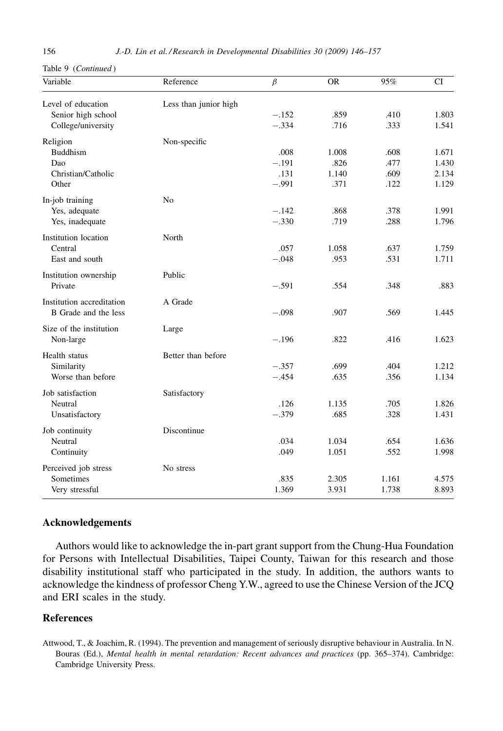<span id="page-10-0"></span>Table 9 (Continued )

| Variable                  | Reference             | $\beta$ | <b>OR</b> | 95%   | CI    |
|---------------------------|-----------------------|---------|-----------|-------|-------|
| Level of education        | Less than junior high |         |           |       |       |
| Senior high school        |                       | $-.152$ | .859      | .410  | 1.803 |
| College/university        |                       | $-.334$ | .716      | .333  | 1.541 |
| Religion                  | Non-specific          |         |           |       |       |
| <b>Buddhism</b>           |                       | .008    | 1.008     | .608  | 1.671 |
| Dao                       |                       | $-.191$ | .826      | .477  | 1.430 |
| Christian/Catholic        |                       | .131    | 1.140     | .609  | 2.134 |
| Other                     |                       | $-.991$ | .371      | .122  | 1.129 |
| In-job training           | N <sub>0</sub>        |         |           |       |       |
| Yes, adequate             |                       | $-.142$ | .868      | .378  | 1.991 |
| Yes, inadequate           |                       | $-.330$ | .719      | .288  | 1.796 |
| Institution location      | North                 |         |           |       |       |
| Central                   |                       | .057    | 1.058     | .637  | 1.759 |
| East and south            |                       | $-.048$ | .953      | .531  | 1.711 |
| Institution ownership     | Public                |         |           |       |       |
| Private                   |                       | $-.591$ | .554      | .348  | .883  |
| Institution accreditation | A Grade               |         |           |       |       |
| B Grade and the less      |                       | $-.098$ | .907      | .569  | 1.445 |
| Size of the institution   | Large                 |         |           |       |       |
| Non-large                 |                       | $-.196$ | .822      | .416  | 1.623 |
| Health status             | Better than before    |         |           |       |       |
| Similarity                |                       | $-.357$ | .699      | .404  | 1.212 |
| Worse than before         |                       | $-.454$ | .635      | .356  | 1.134 |
| Job satisfaction          | Satisfactory          |         |           |       |       |
| Neutral                   |                       | .126    | 1.135     | .705  | 1.826 |
| Unsatisfactory            |                       | $-.379$ | .685      | .328  | 1.431 |
| Job continuity            | Discontinue           |         |           |       |       |
| Neutral                   |                       | .034    | 1.034     | .654  | 1.636 |
| Continuity                |                       | .049    | 1.051     | .552  | 1.998 |
| Perceived job stress      | No stress             |         |           |       |       |
| Sometimes                 |                       | .835    | 2.305     | 1.161 | 4.575 |
| Very stressful            |                       | 1.369   | 3.931     | 1.738 | 8.893 |

## Acknowledgements

Authors would like to acknowledge the in-part grant support from the Chung-Hua Foundation for Persons with Intellectual Disabilities, Taipei County, Taiwan for this research and those disability institutional staff who participated in the study. In addition, the authors wants to acknowledge the kindness of professor Cheng Y.W., agreed to use the Chinese Version of the JCQ and ERI scales in the study.

## References

Attwood, T., & Joachim, R. (1994). The prevention and management of seriously disruptive behaviour in Australia. In N. Bouras (Ed.), Mental health in mental retardation: Recent advances and practices (pp. 365–374). Cambridge: Cambridge University Press.